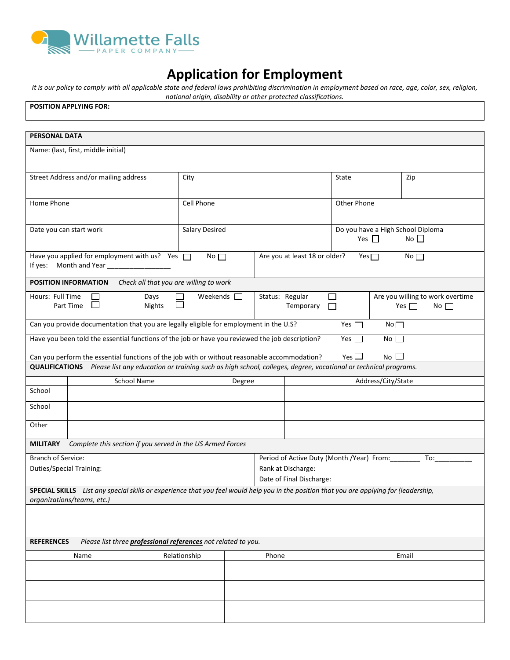

## **Application for Employment**

*It is our policy to comply with all applicable state and federal laws prohibiting discrimination in employment based on race, age, color, sex, religion, national origin, disability or other protected classifications.* 

| manomar origin, aisability or other protected classifications.<br><b>POSITION APPLYING FOR:</b>                                                                        |                                      |                                        |                    |                                                                                                     |                                                       |            |                 |       |
|------------------------------------------------------------------------------------------------------------------------------------------------------------------------|--------------------------------------|----------------------------------------|--------------------|-----------------------------------------------------------------------------------------------------|-------------------------------------------------------|------------|-----------------|-------|
|                                                                                                                                                                        |                                      |                                        |                    |                                                                                                     |                                                       |            |                 |       |
| <b>PERSONAL DATA</b>                                                                                                                                                   |                                      |                                        |                    |                                                                                                     |                                                       |            |                 |       |
| Name: (last, first, middle initial)                                                                                                                                    |                                      |                                        |                    |                                                                                                     |                                                       |            |                 |       |
| Street Address and/or mailing address                                                                                                                                  |                                      |                                        | City               |                                                                                                     |                                                       | State      |                 | Zip   |
| Home Phone                                                                                                                                                             |                                      | Cell Phone                             |                    |                                                                                                     | Other Phone                                           |            |                 |       |
| Date you can start work                                                                                                                                                |                                      | <b>Salary Desired</b>                  |                    |                                                                                                     | Do you have a High School Diploma<br>Yes $\Box$<br>No |            |                 |       |
| Have you applied for employment with us? Yes $\Box$<br>If yes: Month and Year                                                                                          | Are you at least 18 or older?<br>No  |                                        |                    |                                                                                                     | Yes $\Box$                                            | No         |                 |       |
| POSITION INFORMATION                                                                                                                                                   |                                      | Check all that you are willing to work |                    |                                                                                                     |                                                       |            |                 |       |
| Hours: Full Time<br>Part Time<br>ப                                                                                                                                     | Days<br>Weekends $\square$<br>Nights |                                        |                    | Status: Regular<br>Are you willing to work overtime<br>П<br>Temporary<br>Yes $\Box$<br>No<br>$\Box$ |                                                       |            |                 |       |
| Can you provide documentation that you are legally eligible for employment in the U.S?                                                                                 |                                      |                                        |                    |                                                                                                     |                                                       | Yes $\Box$ | No              |       |
| Have you been told the essential functions of the job or have you reviewed the job description?                                                                        |                                      |                                        |                    |                                                                                                     |                                                       | Yes $\Box$ | $No$ $\Box$     |       |
| Can you perform the essential functions of the job with or without reasonable accommodation?                                                                           |                                      |                                        |                    |                                                                                                     |                                                       | Yes $\Box$ | No <sub>l</sub> |       |
| QUALIFICATIONS Please list any education or training such as high school, colleges, degree, vocational or technical programs.                                          |                                      |                                        |                    |                                                                                                     |                                                       |            |                 |       |
|                                                                                                                                                                        | School Name<br>Degree                |                                        |                    | Address/City/State                                                                                  |                                                       |            |                 |       |
| School                                                                                                                                                                 |                                      |                                        |                    |                                                                                                     |                                                       |            |                 |       |
| School                                                                                                                                                                 |                                      |                                        |                    |                                                                                                     |                                                       |            |                 |       |
| Other                                                                                                                                                                  |                                      |                                        |                    |                                                                                                     |                                                       |            |                 |       |
| Complete this section if you served in the US Armed Forces<br><b>MILITARY</b>                                                                                          |                                      |                                        |                    |                                                                                                     |                                                       |            |                 |       |
| Period of Active Duty (Month /Year) From:<br><b>Branch of Service:</b><br>To:                                                                                          |                                      |                                        |                    |                                                                                                     |                                                       |            |                 |       |
| <b>Duties/Special Training:</b>                                                                                                                                        |                                      |                                        | Rank at Discharge: |                                                                                                     |                                                       |            |                 |       |
| Date of Final Discharge:                                                                                                                                               |                                      |                                        |                    |                                                                                                     |                                                       |            |                 |       |
| SPECIAL SKILLS List any special skills or experience that you feel would help you in the position that you are applying for (leadership,<br>organizations/teams, etc.) |                                      |                                        |                    |                                                                                                     |                                                       |            |                 |       |
|                                                                                                                                                                        |                                      |                                        |                    |                                                                                                     |                                                       |            |                 |       |
| Please list three <i>professional references</i> not related to you.<br><b>REFERENCES</b>                                                                              |                                      |                                        |                    |                                                                                                     |                                                       |            |                 |       |
| Name                                                                                                                                                                   | Relationship                         |                                        |                    | Phone                                                                                               |                                                       |            |                 | Email |
|                                                                                                                                                                        |                                      |                                        |                    |                                                                                                     |                                                       |            |                 |       |
|                                                                                                                                                                        |                                      |                                        |                    |                                                                                                     |                                                       |            |                 |       |
|                                                                                                                                                                        |                                      |                                        |                    |                                                                                                     |                                                       |            |                 |       |
|                                                                                                                                                                        |                                      |                                        |                    |                                                                                                     |                                                       |            |                 |       |